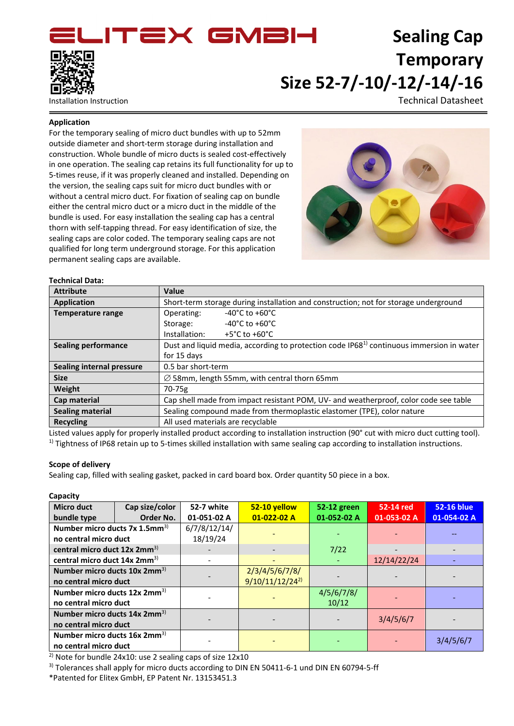**ITEX GMBH** 



# **Sealing Cap Temporary Size 52-7/-10/-12/-14/-16**

Installation Instruction Technical Datasheet

### **Application**

For the temporary sealing of micro duct bundles with up to 52mm outside diameter and short-term storage during installation and construction. Whole bundle of micro ducts is sealed cost-effectively in one operation. The sealing cap retains its full functionality for up to 5-times reuse, if it was properly cleaned and installed. Depending on the version, the sealing caps suit for micro duct bundles with or without a central micro duct. For fixation of sealing cap on bundle either the central micro duct or a micro duct in the middle of the bundle is used. For easy installation the sealing cap has a central thorn with self-tapping thread. For easy identification of size, the sealing caps are color coded. The temporary sealing caps are not qualified for long term underground storage. For this application permanent sealing caps are available.



#### **Technical Data:**

| <b>Attribute</b>                 | Value                                                                                                |  |  |  |  |
|----------------------------------|------------------------------------------------------------------------------------------------------|--|--|--|--|
| Application                      | Short-term storage during installation and construction; not for storage underground                 |  |  |  |  |
| <b>Temperature range</b>         | $-40^{\circ}$ C to $+60^{\circ}$ C<br>Operating:                                                     |  |  |  |  |
|                                  | $-40^{\circ}$ C to $+60^{\circ}$ C<br>Storage:                                                       |  |  |  |  |
|                                  | Installation:<br>+5°C to +60°C                                                                       |  |  |  |  |
| <b>Sealing performance</b>       | Dust and liquid media, according to protection code IP68 <sup>1)</sup> continuous immersion in water |  |  |  |  |
|                                  | for 15 days                                                                                          |  |  |  |  |
| <b>Sealing internal pressure</b> | 0.5 bar short-term                                                                                   |  |  |  |  |
| <b>Size</b>                      | $\varnothing$ 58mm, length 55mm, with central thorn 65mm                                             |  |  |  |  |
| Weight                           | 70-75g                                                                                               |  |  |  |  |
| Cap material                     | Cap shell made from impact resistant POM, UV- and weatherproof, color code see table                 |  |  |  |  |
| <b>Sealing material</b>          | Sealing compound made from thermoplastic elastomer (TPE), color nature                               |  |  |  |  |
| <b>Recycling</b>                 | All used materials are recyclable                                                                    |  |  |  |  |

Listed values apply for properly installed product according to installation instruction (90° cut with micro duct cutting tool).  $1)$  Tightness of IP68 retain up to 5-times skilled installation with same sealing cap according to installation instructions.

### **Scope of delivery**

Sealing cap, filled with sealing gasket, packed in card board box. Order quantity 50 piece in a box.

### **Capacity**

| <b>Micro duct</b>                                                    | Cap size/color | 52-7 white               | 52-10 yellow                          | 52-12 green         | 52-14 red   | <b>52-16 blue</b> |
|----------------------------------------------------------------------|----------------|--------------------------|---------------------------------------|---------------------|-------------|-------------------|
| bundle type                                                          | Order No.      | 01-051-02 A              | $01-022-02A$                          | 01-052-02 A         | 01-053-02 A | 01-054-02 A       |
| Number micro ducts $7x$ 1.5mm <sup>3)</sup><br>no central micro duct |                | 6/7/8/12/14/<br>18/19/24 |                                       |                     |             |                   |
| central micro duct 12x 2mm <sup>3)</sup>                             |                |                          |                                       | 7/22                |             |                   |
| central micro duct 14x 2mm <sup>3)</sup>                             |                |                          |                                       |                     | 12/14/22/24 |                   |
| Number micro ducts 10x 2mm <sup>3)</sup><br>no central micro duct    |                |                          | 2/3/4/5/6/7/8/<br>$9/10/11/12/24^{2}$ |                     |             |                   |
| Number micro ducts $12x 2mm^{3}$<br>no central micro duct            |                |                          |                                       | 4/5/6/7/8/<br>10/12 |             |                   |
| Number micro ducts 14x 2mm <sup>3)</sup><br>no central micro duct    |                |                          |                                       |                     | 3/4/5/6/7   |                   |
| Number micro ducts 16x 2mm <sup>3)</sup><br>no central micro duct    |                |                          |                                       |                     |             | 3/4/5/6/7         |

2) Note for bundle 24x10: use 2 sealing caps of size 12x10

<sup>3)</sup> Tolerances shall apply for micro ducts according to DIN EN 50411-6-1 und DIN EN 60794-5-ff

\*Patented for Elitex GmbH, EP Patent Nr. 13153451.3